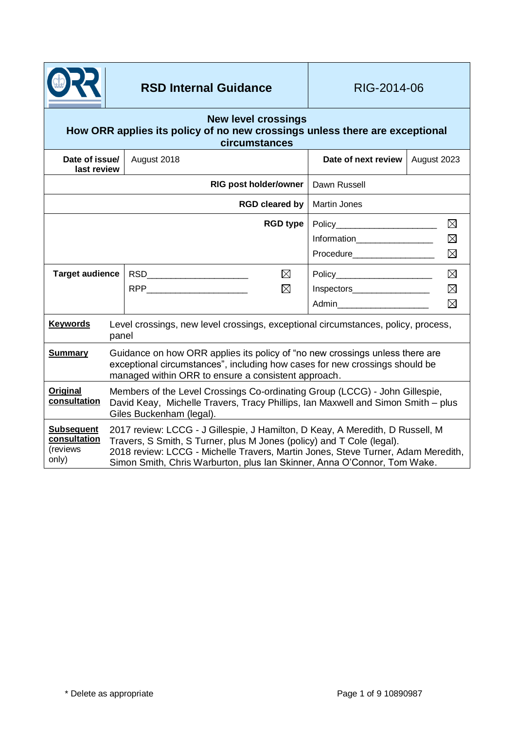

# **RSD Internal Guidance RIG-2014-06**

# **New level crossings**

#### **How ORR applies its policy of no new crossings unless there are exceptional circumstances**

| Date of issue/<br>last review                          |                                                                                                                                                                                                                                                                                                                        | August 2018                                 | Date of next review            | August 2023 |
|--------------------------------------------------------|------------------------------------------------------------------------------------------------------------------------------------------------------------------------------------------------------------------------------------------------------------------------------------------------------------------------|---------------------------------------------|--------------------------------|-------------|
|                                                        |                                                                                                                                                                                                                                                                                                                        | <b>RIG post holder/owner</b>                | Dawn Russell                   |             |
| <b>RGD cleared by</b>                                  |                                                                                                                                                                                                                                                                                                                        |                                             | <b>Martin Jones</b>            |             |
|                                                        |                                                                                                                                                                                                                                                                                                                        | <b>RGD type</b>                             |                                | $\boxtimes$ |
|                                                        |                                                                                                                                                                                                                                                                                                                        |                                             | Information                    | $\boxtimes$ |
|                                                        |                                                                                                                                                                                                                                                                                                                        |                                             |                                | $\boxtimes$ |
| <b>Target audience</b>                                 |                                                                                                                                                                                                                                                                                                                        | $\boxtimes$<br>RSD_________________________ | Policy________________________ | $\boxtimes$ |
|                                                        |                                                                                                                                                                                                                                                                                                                        | $\boxtimes$                                 | Inspectors___________________  | $\boxtimes$ |
|                                                        |                                                                                                                                                                                                                                                                                                                        |                                             |                                | $\boxtimes$ |
| <b>Keywords</b>                                        | Level crossings, new level crossings, exceptional circumstances, policy, process,<br>panel                                                                                                                                                                                                                             |                                             |                                |             |
| <b>Summary</b>                                         | Guidance on how ORR applies its policy of "no new crossings unless there are<br>exceptional circumstances", including how cases for new crossings should be<br>managed within ORR to ensure a consistent approach.                                                                                                     |                                             |                                |             |
| Original<br>consultation                               | Members of the Level Crossings Co-ordinating Group (LCCG) - John Gillespie,<br>David Keay, Michelle Travers, Tracy Phillips, Ian Maxwell and Simon Smith – plus<br>Giles Buckenham (legal).                                                                                                                            |                                             |                                |             |
| <b>Subsequent</b><br>consultation<br>(reviews<br>only) | 2017 review: LCCG - J Gillespie, J Hamilton, D Keay, A Meredith, D Russell, M<br>Travers, S Smith, S Turner, plus M Jones (policy) and T Cole (legal).<br>2018 review: LCCG - Michelle Travers, Martin Jones, Steve Turner, Adam Meredith,<br>Simon Smith, Chris Warburton, plus Ian Skinner, Anna O'Connor, Tom Wake. |                                             |                                |             |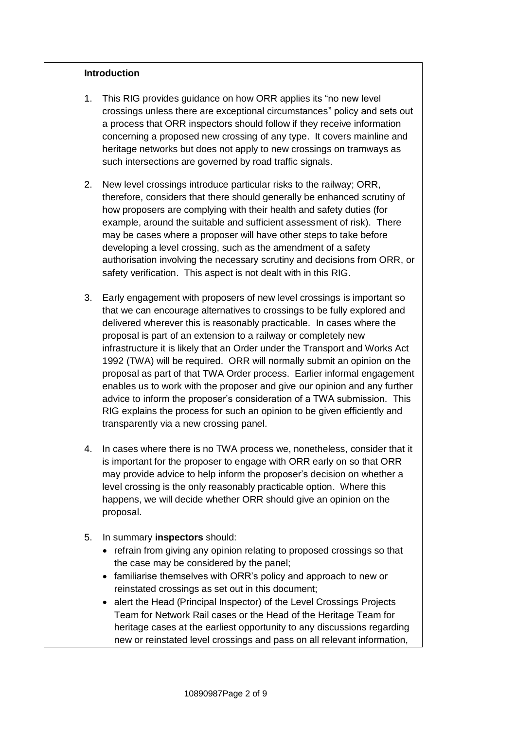### **Introduction**

- 1. This RIG provides guidance on how ORR applies its "no new level crossings unless there are exceptional circumstances" policy and sets out a process that ORR inspectors should follow if they receive information concerning a proposed new crossing of any type. It covers mainline and heritage networks but does not apply to new crossings on tramways as such intersections are governed by road traffic signals.
- 2. New level crossings introduce particular risks to the railway; ORR, therefore, considers that there should generally be enhanced scrutiny of how proposers are complying with their health and safety duties (for example, around the suitable and sufficient assessment of risk). There may be cases where a proposer will have other steps to take before developing a level crossing, such as the amendment of a safety authorisation involving the necessary scrutiny and decisions from ORR, or safety verification. This aspect is not dealt with in this RIG.
- 3. Early engagement with proposers of new level crossings is important so that we can encourage alternatives to crossings to be fully explored and delivered wherever this is reasonably practicable. In cases where the proposal is part of an extension to a railway or completely new infrastructure it is likely that an Order under the Transport and Works Act 1992 (TWA) will be required. ORR will normally submit an opinion on the proposal as part of that TWA Order process. Earlier informal engagement enables us to work with the proposer and give our opinion and any further advice to inform the proposer's consideration of a TWA submission. This RIG explains the process for such an opinion to be given efficiently and transparently via a new crossing panel.
- 4. In cases where there is no TWA process we, nonetheless, consider that it is important for the proposer to engage with ORR early on so that ORR may provide advice to help inform the proposer's decision on whether a level crossing is the only reasonably practicable option. Where this happens, we will decide whether ORR should give an opinion on the proposal.
- 5. In summary **inspectors** should:
	- refrain from giving any opinion relating to proposed crossings so that the case may be considered by the panel;
	- familiarise themselves with ORR's policy and approach to new or reinstated crossings as set out in this document;
	- alert the Head (Principal Inspector) of the Level Crossings Projects Team for Network Rail cases or the Head of the Heritage Team for heritage cases at the earliest opportunity to any discussions regarding new or reinstated level crossings and pass on all relevant information,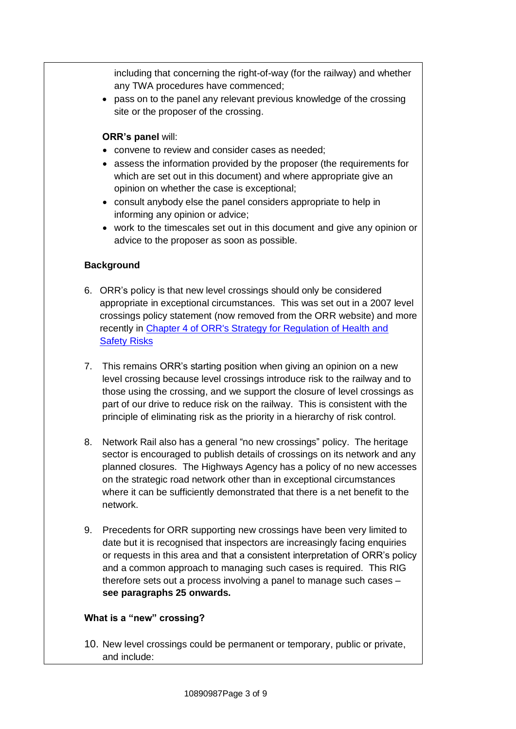including that concerning the right-of-way (for the railway) and whether any TWA procedures have commenced;

 pass on to the panel any relevant previous knowledge of the crossing site or the proposer of the crossing.

# **ORR's panel** will:

- convene to review and consider cases as needed;
- assess the information provided by the proposer (the requirements for which are set out in this document) and where appropriate give an opinion on whether the case is exceptional;
- consult anybody else the panel considers appropriate to help in informing any opinion or advice;
- work to the timescales set out in this document and give any opinion or advice to the proposer as soon as possible.

# **Background**

- 6. ORR's policy is that new level crossings should only be considered appropriate in exceptional circumstances. This was set out in a 2007 level crossings policy statement (now removed from the ORR website) and more recently in [Chapter 4 of ORR's Strategy for Regulation of Health and](http://orr.gov.uk/__data/assets/pdf_file/0019/6427/2016-03-31-strategic-Chapter-4-Level-Crossings-RJK-version.pdf)  [Safety Risks](http://orr.gov.uk/__data/assets/pdf_file/0019/6427/2016-03-31-strategic-Chapter-4-Level-Crossings-RJK-version.pdf)
- 7. This remains ORR's starting position when giving an opinion on a new level crossing because level crossings introduce risk to the railway and to those using the crossing, and we support the closure of level crossings as part of our drive to reduce risk on the railway. This is consistent with the principle of eliminating risk as the priority in a hierarchy of risk control.
- 8. Network Rail also has a general "no new crossings" policy. The heritage sector is encouraged to publish details of crossings on its network and any planned closures. The Highways Agency has a policy of no new accesses on the strategic road network other than in exceptional circumstances where it can be sufficiently demonstrated that there is a net benefit to the network.
- 9. Precedents for ORR supporting new crossings have been very limited to date but it is recognised that inspectors are increasingly facing enquiries or requests in this area and that a consistent interpretation of ORR's policy and a common approach to managing such cases is required. This RIG therefore sets out a process involving a panel to manage such cases – **see paragraphs 25 onwards.**

# **What is a "new" crossing?**

10. New level crossings could be permanent or temporary, public or private, and include: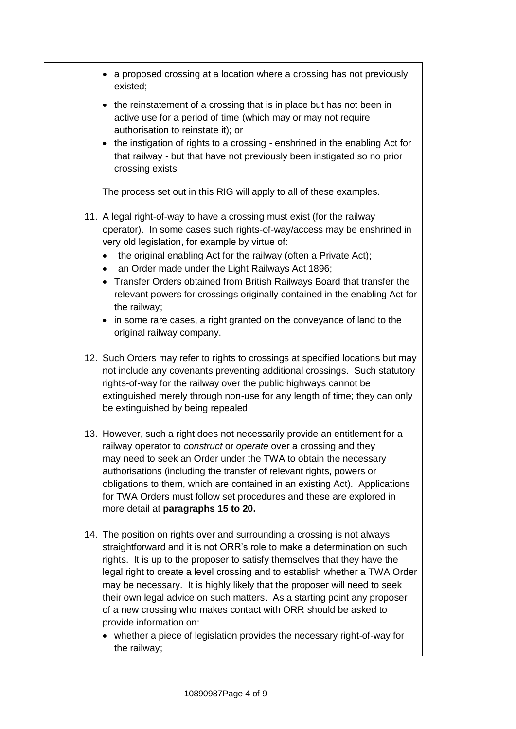- a proposed crossing at a location where a crossing has not previously existed;
- the reinstatement of a crossing that is in place but has not been in active use for a period of time (which may or may not require authorisation to reinstate it); or
- the instigation of rights to a crossing enshrined in the enabling Act for that railway - but that have not previously been instigated so no prior crossing exists.

The process set out in this RIG will apply to all of these examples.

- 11. A legal right-of-way to have a crossing must exist (for the railway operator). In some cases such rights-of-way/access may be enshrined in very old legislation, for example by virtue of:
	- the original enabling Act for the railway (often a Private Act);
	- an Order made under the Light Railways Act 1896;
	- Transfer Orders obtained from British Railways Board that transfer the relevant powers for crossings originally contained in the enabling Act for the railway;
	- in some rare cases, a right granted on the conveyance of land to the original railway company.
- 12. Such Orders may refer to rights to crossings at specified locations but may not include any covenants preventing additional crossings. Such statutory rights-of-way for the railway over the public highways cannot be extinguished merely through non-use for any length of time; they can only be extinguished by being repealed.
- 13. However, such a right does not necessarily provide an entitlement for a railway operator to *construct* or *operate* over a crossing and they may need to seek an Order under the TWA to obtain the necessary authorisations (including the transfer of relevant rights, powers or obligations to them, which are contained in an existing Act). Applications for TWA Orders must follow set procedures and these are explored in more detail at **paragraphs 15 to 20.**
- 14. The position on rights over and surrounding a crossing is not always straightforward and it is not ORR's role to make a determination on such rights. It is up to the proposer to satisfy themselves that they have the legal right to create a level crossing and to establish whether a TWA Order may be necessary. It is highly likely that the proposer will need to seek their own legal advice on such matters. As a starting point any proposer of a new crossing who makes contact with ORR should be asked to provide information on:
	- whether a piece of legislation provides the necessary right-of-way for the railway;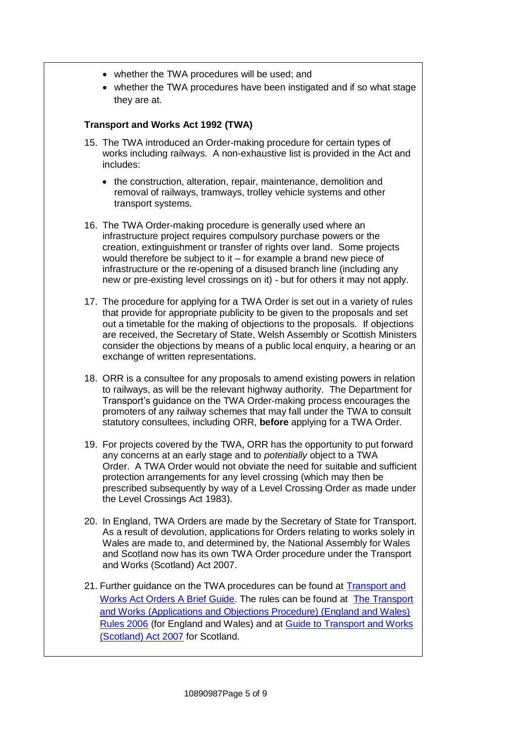- whether the TWA procedures will be used; and
- whether the TWA procedures have been instigated and if so what stage they are at.

#### **Transport and Works Act 1992 (TWA)**

- 15. The TWA introduced an Order-making procedure for certain types of works including railways. A non-exhaustive list is provided in the Act and includes:
	- the construction, alteration, repair, maintenance, demolition and removal of railways, tramways, trolley vehicle systems and other transport systems.
- 16. The TWA Order-making procedure is generally used where an infrastructure project requires compulsory purchase powers or the creation, extinguishment or transfer of rights over land. Some projects would therefore be subject to it – for example a brand new piece of infrastructure or the re-opening of a disused branch line (including any new or pre-existing level crossings on it) - but for others it may not apply.
- 17. The procedure for applying for a TWA Order is set out in a variety of rules that provide for appropriate publicity to be given to the proposals and set out a timetable for the making of objections to the proposals. If objections are received, the Secretary of State, Welsh Assembly or Scottish Ministers consider the objections by means of a public local enquiry, a hearing or an exchange of written representations.
- 18. ORR is a consultee for any proposals to amend existing powers in relation to railways, as will be the relevant highway authority. The Department for Transport's guidance on the TWA Order-making process encourages the promoters of any railway schemes that may fall under the TWA to consult statutory consultees, including ORR, **before** applying for a TWA Order.
- 19. For projects covered by the TWA, ORR has the opportunity to put forward any concerns at an early stage and to *potentially* object to a TWA Order. A TWA Order would not obviate the need for suitable and sufficient protection arrangements for any level crossing (which may then be prescribed subsequently by way of a Level Crossing Order as made under the Level Crossings Act 1983).
- 20. In England, TWA Orders are made by the Secretary of State for Transport. As a result of devolution, applications for Orders relating to works solely in Wales are made to, and determined by, the National Assembly for Wales and Scotland now has its own TWA Order procedure under the Transport and Works (Scotland) Act 2007.
- 21. Further guidance on the TWA procedures can be found at Transport and [Works Act Orders A Brief Guide.](https://www.gov.uk/government/uploads/system/uploads/attachment_data/file/273359/twa-orders-summary-guide-2013.pdf) The rules can be found at [The Transport](http://www.legislation.gov.uk/uksi/2006/1466/contents/made)  [and Works \(Applications and Objections Procedure\) \(England and Wales\)](http://www.legislation.gov.uk/uksi/2006/1466/contents/made)  [Rules 2006](http://www.legislation.gov.uk/uksi/2006/1466/contents/made) (for England and Wales) and at [Guide to Transport and Works](http://www.scotland.gov.uk/Publications/2007/12/24105544/3)  [\(Scotland\) Act 2007](http://www.scotland.gov.uk/Publications/2007/12/24105544/3) for Scotland.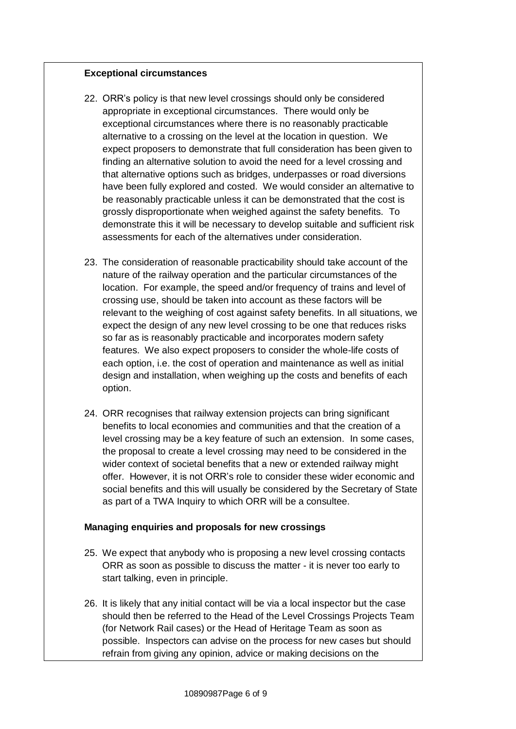#### **Exceptional circumstances**

- 22. ORR's policy is that new level crossings should only be considered appropriate in exceptional circumstances. There would only be exceptional circumstances where there is no reasonably practicable alternative to a crossing on the level at the location in question. We expect proposers to demonstrate that full consideration has been given to finding an alternative solution to avoid the need for a level crossing and that alternative options such as bridges, underpasses or road diversions have been fully explored and costed. We would consider an alternative to be reasonably practicable unless it can be demonstrated that the cost is grossly disproportionate when weighed against the safety benefits. To demonstrate this it will be necessary to develop suitable and sufficient risk assessments for each of the alternatives under consideration.
- 23. The consideration of reasonable practicability should take account of the nature of the railway operation and the particular circumstances of the location. For example, the speed and/or frequency of trains and level of crossing use, should be taken into account as these factors will be relevant to the weighing of cost against safety benefits. In all situations, we expect the design of any new level crossing to be one that reduces risks so far as is reasonably practicable and incorporates modern safety features. We also expect proposers to consider the whole-life costs of each option, i.e. the cost of operation and maintenance as well as initial design and installation, when weighing up the costs and benefits of each option.
- 24. ORR recognises that railway extension projects can bring significant benefits to local economies and communities and that the creation of a level crossing may be a key feature of such an extension. In some cases, the proposal to create a level crossing may need to be considered in the wider context of societal benefits that a new or extended railway might offer. However, it is not ORR's role to consider these wider economic and social benefits and this will usually be considered by the Secretary of State as part of a TWA Inquiry to which ORR will be a consultee.

#### **Managing enquiries and proposals for new crossings**

- 25. We expect that anybody who is proposing a new level crossing contacts ORR as soon as possible to discuss the matter - it is never too early to start talking, even in principle.
- 26. It is likely that any initial contact will be via a local inspector but the case should then be referred to the Head of the Level Crossings Projects Team (for Network Rail cases) or the Head of Heritage Team as soon as possible. Inspectors can advise on the process for new cases but should refrain from giving any opinion, advice or making decisions on the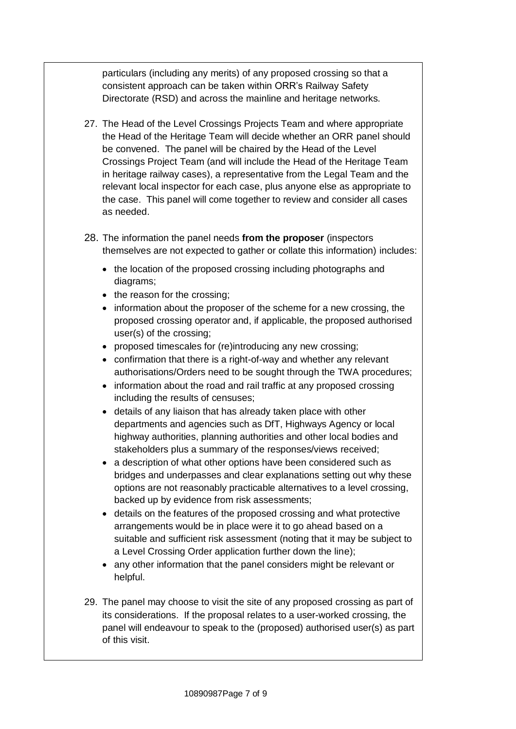particulars (including any merits) of any proposed crossing so that a consistent approach can be taken within ORR's Railway Safety Directorate (RSD) and across the mainline and heritage networks.

- 27. The Head of the Level Crossings Projects Team and where appropriate the Head of the Heritage Team will decide whether an ORR panel should be convened. The panel will be chaired by the Head of the Level Crossings Project Team (and will include the Head of the Heritage Team in heritage railway cases), a representative from the Legal Team and the relevant local inspector for each case, plus anyone else as appropriate to the case. This panel will come together to review and consider all cases as needed.
- 28. The information the panel needs **from the proposer** (inspectors themselves are not expected to gather or collate this information) includes:
	- the location of the proposed crossing including photographs and diagrams;
	- the reason for the crossing;
	- information about the proposer of the scheme for a new crossing, the proposed crossing operator and, if applicable, the proposed authorised user(s) of the crossing;
	- proposed timescales for (re)introducing any new crossing;
	- confirmation that there is a right-of-way and whether any relevant authorisations/Orders need to be sought through the TWA procedures;
	- information about the road and rail traffic at any proposed crossing including the results of censuses;
	- details of any liaison that has already taken place with other departments and agencies such as DfT, Highways Agency or local highway authorities, planning authorities and other local bodies and stakeholders plus a summary of the responses/views received;
	- a description of what other options have been considered such as bridges and underpasses and clear explanations setting out why these options are not reasonably practicable alternatives to a level crossing, backed up by evidence from risk assessments;
	- details on the features of the proposed crossing and what protective arrangements would be in place were it to go ahead based on a suitable and sufficient risk assessment (noting that it may be subject to a Level Crossing Order application further down the line);
	- any other information that the panel considers might be relevant or helpful.
- 29. The panel may choose to visit the site of any proposed crossing as part of its considerations. If the proposal relates to a user-worked crossing, the panel will endeavour to speak to the (proposed) authorised user(s) as part of this visit.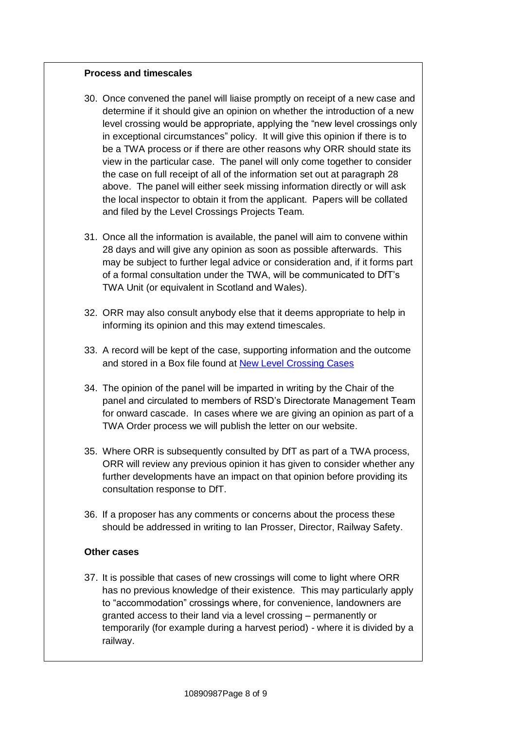#### **Process and timescales**

- 30. Once convened the panel will liaise promptly on receipt of a new case and determine if it should give an opinion on whether the introduction of a new level crossing would be appropriate, applying the "new level crossings only in exceptional circumstances" policy. It will give this opinion if there is to be a TWA process or if there are other reasons why ORR should state its view in the particular case. The panel will only come together to consider the case on full receipt of all of the information set out at paragraph 28 above. The panel will either seek missing information directly or will ask the local inspector to obtain it from the applicant. Papers will be collated and filed by the Level Crossings Projects Team.
- 31. Once all the information is available, the panel will aim to convene within 28 days and will give any opinion as soon as possible afterwards. This may be subject to further legal advice or consideration and, if it forms part of a formal consultation under the TWA, will be communicated to DfT's TWA Unit (or equivalent in Scotland and Wales).
- 32. ORR may also consult anybody else that it deems appropriate to help in informing its opinion and this may extend timescales.
- 33. A record will be kept of the case, supporting information and the outcome and stored in a Box file found at [New Level Crossing Cases](https://orr.app.box.com/folder/8914179234)
- 34. The opinion of the panel will be imparted in writing by the Chair of the panel and circulated to members of RSD's Directorate Management Team for onward cascade. In cases where we are giving an opinion as part of a TWA Order process we will publish the letter on our website.
- 35. Where ORR is subsequently consulted by DfT as part of a TWA process, ORR will review any previous opinion it has given to consider whether any further developments have an impact on that opinion before providing its consultation response to DfT.
- 36. If a proposer has any comments or concerns about the process these should be addressed in writing to Ian Prosser, Director, Railway Safety.

### **Other cases**

37. It is possible that cases of new crossings will come to light where ORR has no previous knowledge of their existence. This may particularly apply to "accommodation" crossings where, for convenience, landowners are granted access to their land via a level crossing – permanently or temporarily (for example during a harvest period) - where it is divided by a railway.